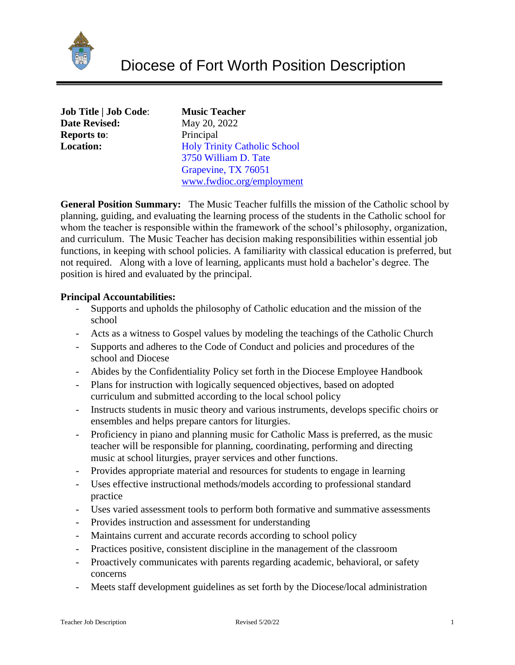

**Music Teacher Date Revised:** May 20, 2022 Principal **Holy Trinity Catholic School** 3750 William D. Tate Grapevine, TX 76051 [www.fwdioc.org/employment](http://www.fwdioc.org/employment)

**General Position Summary:** The Music Teacher fulfills the mission of the Catholic school by planning, guiding, and evaluating the learning process of the students in the Catholic school for whom the teacher is responsible within the framework of the school's philosophy, organization, and curriculum. The Music Teacher has decision making responsibilities within essential job functions, in keeping with school policies. A familiarity with classical education is preferred, but not required. Along with a love of learning, applicants must hold a bachelor's degree. The position is hired and evaluated by the principal.

# **Principal Accountabilities:**

- Supports and upholds the philosophy of Catholic education and the mission of the school
- Acts as a witness to Gospel values by modeling the teachings of the Catholic Church
- Supports and adheres to the Code of Conduct and policies and procedures of the school and Diocese
- Abides by the Confidentiality Policy set forth in the Diocese Employee Handbook
- Plans for instruction with logically sequenced objectives, based on adopted curriculum and submitted according to the local school policy
- Instructs students in music theory and various instruments, develops specific choirs or ensembles and helps prepare cantors for liturgies.
- Proficiency in piano and planning music for Catholic Mass is preferred, as the music teacher will be responsible for planning, coordinating, performing and directing music at school liturgies, prayer services and other functions.
- Provides appropriate material and resources for students to engage in learning
- Uses effective instructional methods/models according to professional standard practice
- Uses varied assessment tools to perform both formative and summative assessments
- Provides instruction and assessment for understanding
- Maintains current and accurate records according to school policy
- Practices positive, consistent discipline in the management of the classroom
- Proactively communicates with parents regarding academic, behavioral, or safety concerns
- Meets staff development guidelines as set forth by the Diocese/local administration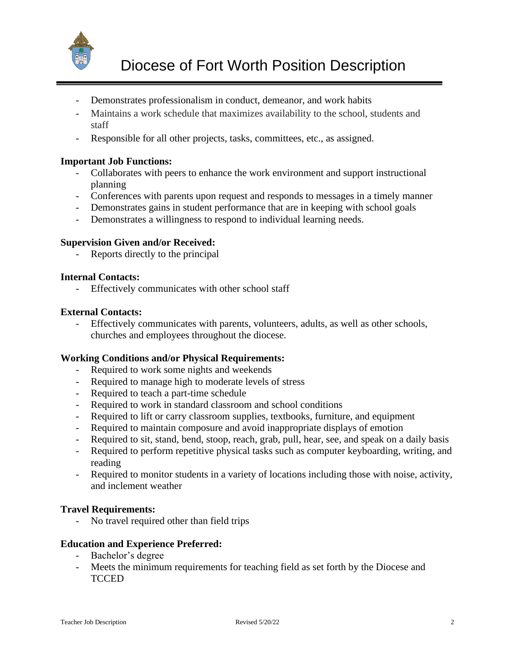

- Demonstrates professionalism in conduct, demeanor, and work habits
- Maintains a work schedule that maximizes availability to the school, students and staff
- Responsible for all other projects, tasks, committees, etc., as assigned.

## **Important Job Functions:**

- Collaborates with peers to enhance the work environment and support instructional planning
- Conferences with parents upon request and responds to messages in a timely manner
- Demonstrates gains in student performance that are in keeping with school goals
- Demonstrates a willingness to respond to individual learning needs.

## **Supervision Given and/or Received:**

- Reports directly to the principal

#### **Internal Contacts:**

- Effectively communicates with other school staff

## **External Contacts:**

- Effectively communicates with parents, volunteers, adults, as well as other schools, churches and employees throughout the diocese.

#### **Working Conditions and/or Physical Requirements:**

- Required to work some nights and weekends
- Required to manage high to moderate levels of stress
- Required to teach a part-time schedule
- Required to work in standard classroom and school conditions
- Required to lift or carry classroom supplies, textbooks, furniture, and equipment
- Required to maintain composure and avoid inappropriate displays of emotion
- Required to sit, stand, bend, stoop, reach, grab, pull, hear, see, and speak on a daily basis
- Required to perform repetitive physical tasks such as computer keyboarding, writing, and reading
- Required to monitor students in a variety of locations including those with noise, activity, and inclement weather

# **Travel Requirements:**

- No travel required other than field trips

#### **Education and Experience Preferred:**

- Bachelor's degree
- Meets the minimum requirements for teaching field as set forth by the Diocese and **TCCED**